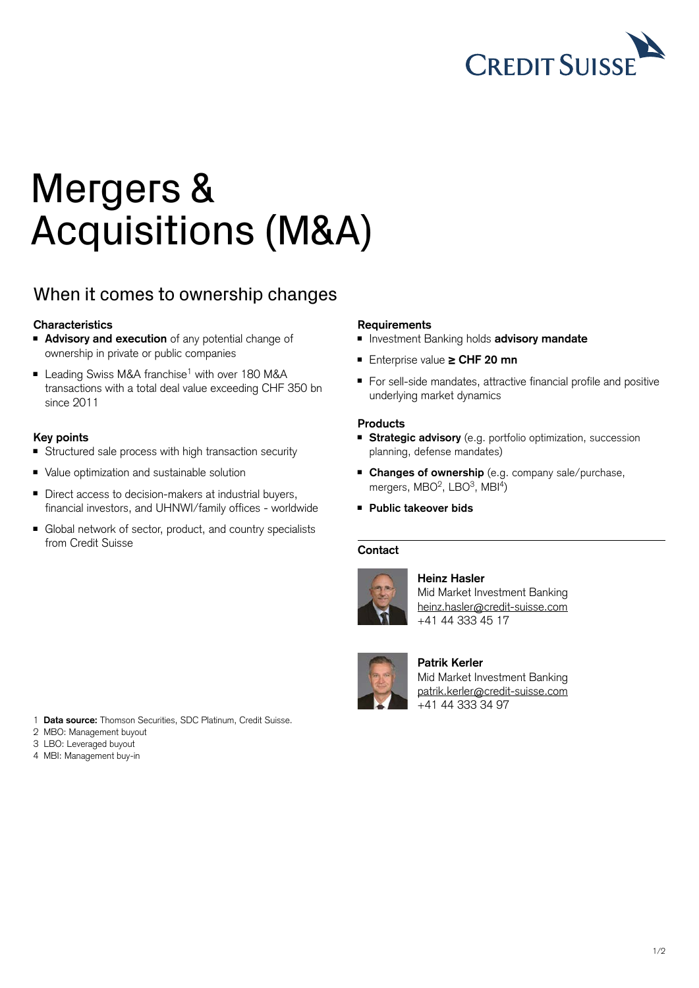

# Mergers & Acquisitions (M&A)

# When it comes to ownership changes

## **Characteristics**

- **Advisory and execution** of any potential change of ownership in private or public companies
- Leading Swiss M&A franchise<sup>1</sup> with over 180 M&A transactions with a total deal value exceeding CHF 350 bn since 2011

### **Key points**

- Structured sale process with high transaction security
- Value optimization and sustainable solution
- Direct access to decision-makers at industrial buyers, financial investors, and UHNWI/family offices - worldwide
- Global network of sector, product, and country specialists from Credit Suisse

### **Requirements**

- Investment Banking holds **advisory mandate**
- <sup>ȷ</sup> Enterprise value **≥ CHF 20 mn**
- For sell-side mandates, attractive financial profile and positive underlying market dynamics

### **Products**

- **Extrategic advisory** (e.g. portfolio optimization, succession planning, defense mandates)
- **Changes of ownership** (e.g. company sale/purchase, mergers, MBO<sup>2</sup>, LBO<sup>3</sup>, MBI<sup>4</sup>)
- <sup>ȷ</sup> **Public takeover bids**

#### **Contact**



#### **Heinz Hasler**

Mid Market Investment Banking [heinz.hasler@credit-suisse.com](mailto:heinz.hasler%40credit-suisse.com?subject=) +41 44 333 45 17



### **Patrik Kerler**

Mid Market Investment Banking [patrik.kerler@credit-suisse.com](mailto:patrik.kerler%40credit-suisse.com?subject=) +41 44 333 34 97

- 1 **Data source:** Thomson Securities, SDC Platinum, Credit Suisse.
- 2 MBO: Management buyout
- 3 LBO: Leveraged buyout
- 4 MBI: Management buy-in